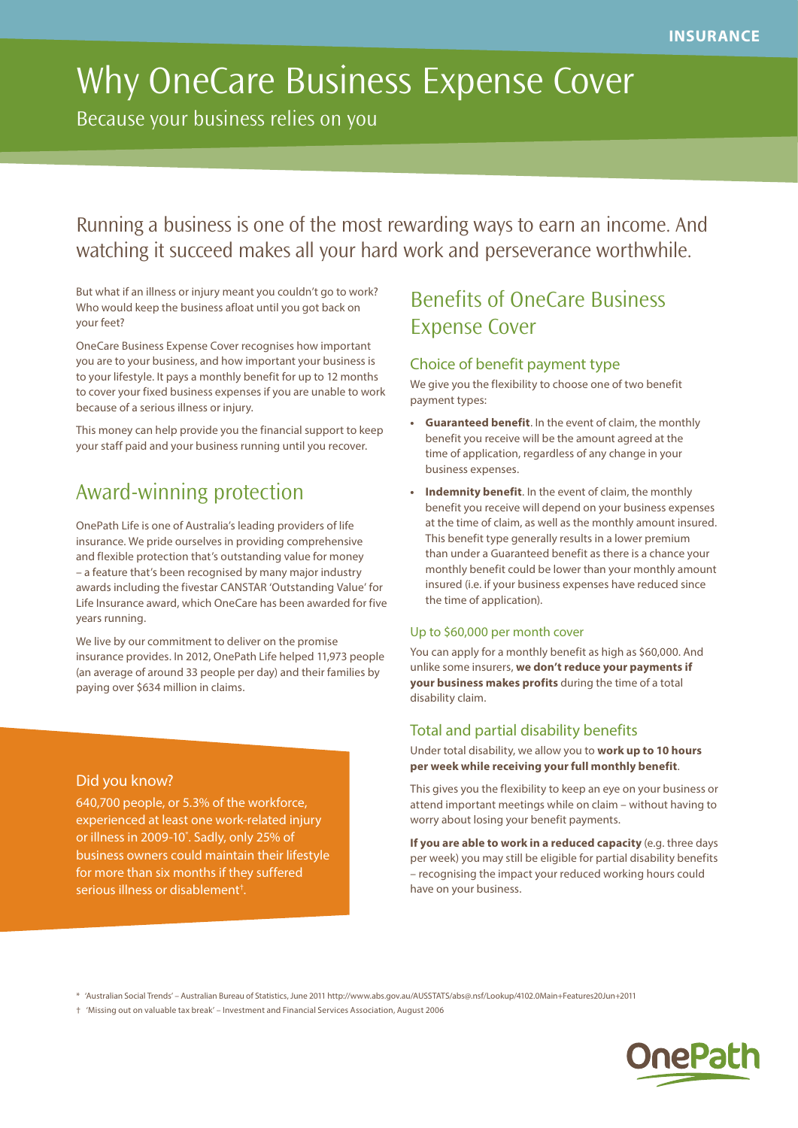# Why OneCare Business Expense Cover

Because your business relies on you

Running a business is one of the most rewarding ways to earn an income. And watching it succeed makes all your hard work and perseverance worthwhile.

But what if an illness or injury meant you couldn't go to work? Who would keep the business afloat until you got back on your feet?

OneCare Business Expense Cover recognises how important you are to your business, and how important your business is to your lifestyle. It pays a monthly benefit for up to 12 months to cover your fixed business expenses if you are unable to work because of a serious illness or injury.

This money can help provide you the financial support to keep your staff paid and your business running until you recover.

# Award-winning protection

OnePath Life is one of Australia's leading providers of life insurance. We pride ourselves in providing comprehensive and flexible protection that's outstanding value for money – a feature that's been recognised by many major industry awards including the fivestar CANSTAR 'Outstanding Value' for Life Insurance award, which OneCare has been awarded for five years running.

We live by our commitment to deliver on the promise insurance provides. In 2012, OnePath Life helped 11,973 people (an average of around 33 people per day) and their families by paying over \$634 million in claims.

# Did you know?

640,700 people, or 5.3% of the workforce, experienced at least one work-related injury or illness in 2009-10\* . Sadly, only 25% of business owners could maintain their lifestyle for more than six months if they suffered serious illness or disablement† .

# Benefits of OneCare Business Expense Cover

## Choice of benefit payment type

We give you the flexibility to choose one of two benefit payment types:

- **• Guaranteed benefit**. In the event of claim, the monthly benefit you receive will be the amount agreed at the time of application, regardless of any change in your business expenses.
- **• Indemnity benefit**. In the event of claim, the monthly benefit you receive will depend on your business expenses at the time of claim, as well as the monthly amount insured. This benefit type generally results in a lower premium than under a Guaranteed benefit as there is a chance your monthly benefit could be lower than your monthly amount insured (i.e. if your business expenses have reduced since the time of application).

### Up to \$60,000 per month cover

You can apply for a monthly benefit as high as \$60,000. And unlike some insurers, **we don't reduce your payments if your business makes profits** during the time of a total disability claim.

### Total and partial disability benefits

Under total disability, we allow you to **work up to 10 hours per week while receiving your full monthly benefit**.

This gives you the flexibility to keep an eye on your business or attend important meetings while on claim – without having to worry about losing your benefit payments.

**If you are able to work in a reduced capacity** (e.g. three days per week) you may still be eligible for partial disability benefits – recognising the impact your reduced working hours could have on your business.

\* 'Australian Social Trends' – Australian Bureau of Statistics, June 2011 http://www.abs.gov.au/AUSSTATS/abs@.nsf/Lookup/4102.0Main+Features20Jun+2011

† 'Missing out on valuable tax break' – Investment and Financial Services Association, August 2006